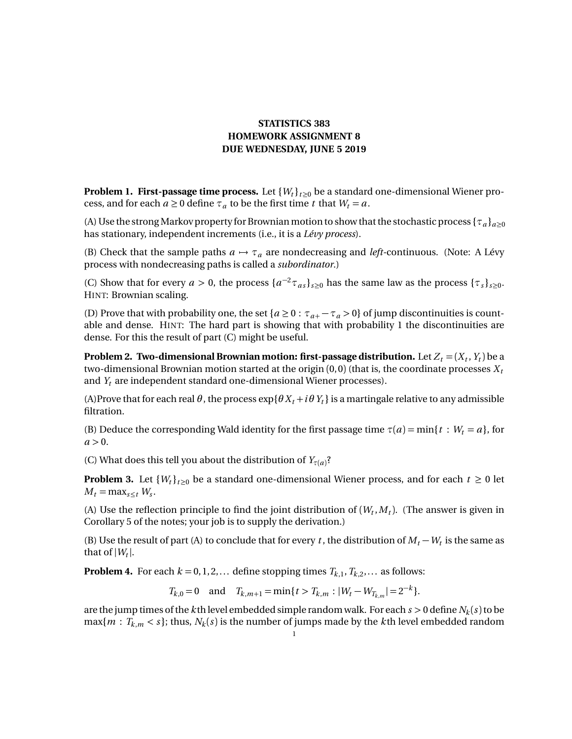## **STATISTICS 383 HOMEWORK ASSIGNMENT 8 DUE WEDNESDAY, JUNE 5 2019**

**Problem 1. First-passage time process.** Let  $\{W_t\}_{t>0}$  be a standard one-dimensional Wiener process, and for each  $a \ge 0$  define  $\tau_a$  to be the first time *t* that  $W_t = a$ .

(A) Use the strong Markov property for Brownian motion to show that the stochastic process  $\{\tau_a\}_{a>0}$ has stationary, independent increments (i.e., it is a *Lévy process*).

(B) Check that the sample paths  $a \mapsto \tau_a$  are nondecreasing and *left*-continuous. (Note: A Lévy process with nondecreasing paths is called a *subordinator*.)

(C) Show that for every  $a > 0$ , the process  $\{a^{-2}\tau_{as}\}_{s\geq 0}$  has the same law as the process  $\{\tau_s\}_{s\geq 0}$ . HINT: Brownian scaling.

(D) Prove that with probability one, the set  ${a \ge 0 : \tau_{a+} - \tau_a > 0}$  of jump discontinuities is countable and dense. HINT: The hard part is showing that with probability 1 the discontinuities are dense. For this the result of part (C) might be useful.

**Problem 2. Two-dimensional Brownian motion: first-passage distribution.** Let  $Z_t$  = ( $X_t$  ,  $Y_t$ ) be a two-dimensional Brownian motion started at the origin  $(0,0)$  (that is, the coordinate processes  $X_t$ and *Y<sup>t</sup>* are independent standard one-dimensional Wiener processes).

(A)Prove that for each real  $\theta$ , the process  $\exp{\{\theta X_t + i\theta Y_t\}}$  is a martingale relative to any admissible filtration.

(B) Deduce the corresponding Wald identity for the first passage time  $\tau(a) = \min\{t : W_t = a\}$ , for  $a > 0$ .

(C) What does this tell you about the distribution of  $Y_{\tau(a)}$ ?

**Problem 3.** Let  $\{W_t\}_{t\geq0}$  be a standard one-dimensional Wiener process, and for each  $t \geq 0$  let  $M_t = \max_{s \leq t} W_s$ .

(A) Use the reflection principle to find the joint distribution of  $(W_t, M_t)$ . (The answer is given in Corollary 5 of the notes; your job is to supply the derivation.)

(B) Use the result of part (A) to conclude that for every *t*, the distribution of  $M_t - W_t$  is the same as that of  $|W_t|$ .

**Problem 4.** For each  $k = 0, 1, 2, \ldots$  define stopping times  $T_{k,1}, T_{k,2}, \ldots$  as follows:

 $T_{k,0} = 0$  and  $T_{k,m+1} = \min\{t > T_{k,m} : |W_t - W_{T_{k,m}}| = 2^{-k}\}.$ 

are the jump times of the  $k$  th level embedded simple random walk. For each  $s > 0$  define  $N_k(s)$  to be  $\max\{m : T_{k,m} < s\}$ ; thus,  $N_k(s)$  is the number of jumps made by the *k*th level embedded random